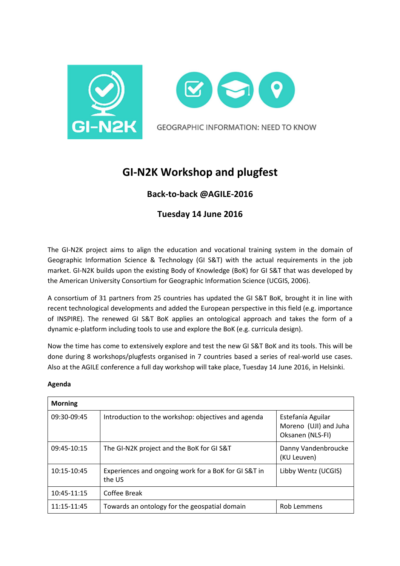



# **GI-N2K Workshop and plugfest**

## **Back-to-back @AGILE-2016**

## **Tuesday 14 June 2016**

The GI-N2K project aims to align the education and vocational training system in the domain of Geographic Information Science & Technology (GI S&T) with the actual requirements in the job market. GI-N2K builds upon the existing Body of Knowledge (BoK) for GI S&T that was developed by the American University Consortium for Geographic Information Science (UCGIS, 2006).

A consortium of 31 partners from 25 countries has updated the GI S&T BoK, brought it in line with recent technological developments and added the European perspective in this field (e.g. importance of INSPIRE). The renewed GI S&T BoK applies an ontological approach and takes the form of a dynamic e-platform including tools to use and explore the BoK (e.g. curricula design).

Now the time has come to extensively explore and test the new GI S&T BoK and its tools. This will be done during 8 workshops/plugfests organised in 7 countries based a series of real-world use cases. Also at the AGILE conference a full day workshop will take place, Tuesday 14 June 2016, in Helsinki.

| <b>Morning</b> |                                                                |                                                                |  |
|----------------|----------------------------------------------------------------|----------------------------------------------------------------|--|
| 09:30-09:45    | Introduction to the workshop: objectives and agenda            | Estefanía Aguilar<br>Moreno (UJI) and Juha<br>Oksanen (NLS-FI) |  |
| $09:45-10:15$  | The GI-N2K project and the BoK for GI S&T                      | Danny Vandenbroucke<br>(KU Leuven)                             |  |
| $10:15-10:45$  | Experiences and ongoing work for a BoK for GI S&T in<br>the US | Libby Wentz (UCGIS)                                            |  |
| 10:45-11:15    | Coffee Break                                                   |                                                                |  |
| 11:15-11:45    | Towards an ontology for the geospatial domain                  | Rob Lemmens                                                    |  |

#### **Agenda**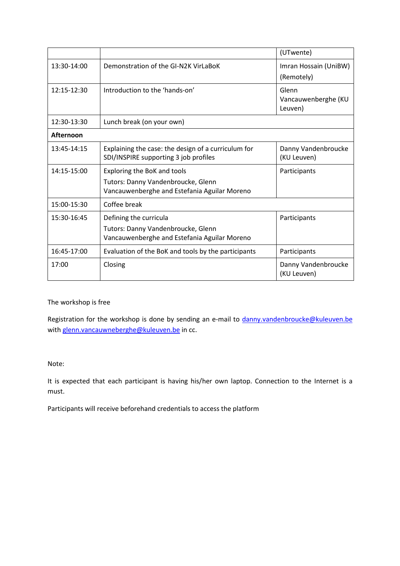|               |                                                                                              | (UTwente)                               |
|---------------|----------------------------------------------------------------------------------------------|-----------------------------------------|
| 13:30-14:00   | Demonstration of the GI-N2K VirLaBoK                                                         | Imran Hossain (UniBW)                   |
|               |                                                                                              | (Remotely)                              |
| $12:15-12:30$ | Introduction to the 'hands-on'                                                               | Glenn<br>Vancauwenberghe (KU<br>Leuven) |
| 12:30-13:30   | Lunch break (on your own)                                                                    |                                         |
| Afternoon     |                                                                                              |                                         |
| 13:45-14:15   | Explaining the case: the design of a curriculum for<br>SDI/INSPIRE supporting 3 job profiles | Danny Vandenbroucke<br>(KU Leuven)      |
| 14:15-15:00   | Exploring the BoK and tools                                                                  | Participants                            |
|               | Tutors: Danny Vandenbroucke, Glenn<br>Vancauwenberghe and Estefania Aguilar Moreno           |                                         |
| 15:00-15:30   | Coffee break                                                                                 |                                         |
| 15:30-16:45   | Defining the curricula                                                                       | Participants                            |
|               | Tutors: Danny Vandenbroucke, Glenn                                                           |                                         |
|               | Vancauwenberghe and Estefania Aguilar Moreno                                                 |                                         |
| 16:45-17:00   | Evaluation of the BoK and tools by the participants                                          | Participants                            |
| 17:00         | Closing                                                                                      | Danny Vandenbroucke<br>(KU Leuven)      |

#### The workshop is free

Registration for the workshop is done by sending an e-mail to danny.vandenbroucke@kuleuven.be with glenn.vancauwneberghe@kuleuven.be in cc.

Note:

It is expected that each participant is having his/her own laptop. Connection to the Internet is a must.

Participants will receive beforehand credentials to access the platform